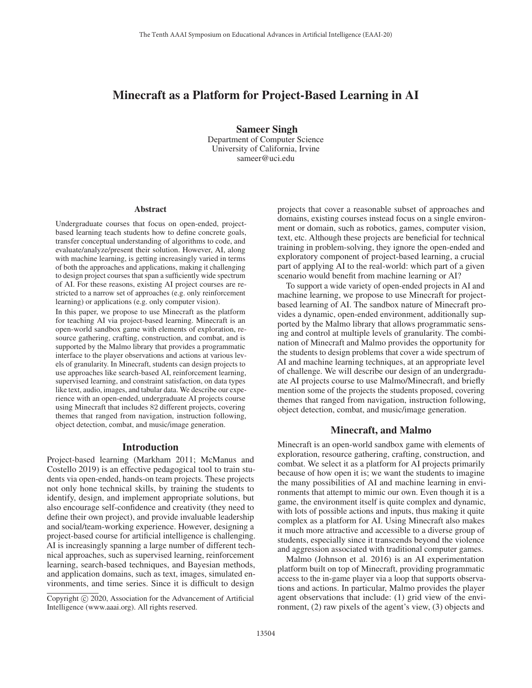# Minecraft as a Platform for Project-Based Learning in AI

Sameer Singh Department of Computer Science University of California, Irvine sameer@uci.edu

### Abstract

Undergraduate courses that focus on open-ended, projectbased learning teach students how to define concrete goals, transfer conceptual understanding of algorithms to code, and evaluate/analyze/present their solution. However, AI, along with machine learning, is getting increasingly varied in terms of both the approaches and applications, making it challenging to design project courses that span a sufficiently wide spectrum of AI. For these reasons, existing AI project courses are restricted to a narrow set of approaches (e.g. only reinforcement learning) or applications (e.g. only computer vision).

In this paper, we propose to use Minecraft as the platform for teaching AI via project-based learning. Minecraft is an open-world sandbox game with elements of exploration, resource gathering, crafting, construction, and combat, and is supported by the Malmo library that provides a programmatic interface to the player observations and actions at various levels of granularity. In Minecraft, students can design projects to use approaches like search-based AI, reinforcement learning, supervised learning, and constraint satisfaction, on data types like text, audio, images, and tabular data. We describe our experience with an open-ended, undergraduate AI projects course using Minecraft that includes 82 different projects, covering themes that ranged from navigation, instruction following, object detection, combat, and music/image generation.

### Introduction

Project-based learning (Markham 2011; McManus and Costello 2019) is an effective pedagogical tool to train students via open-ended, hands-on team projects. These projects not only hone technical skills, by training the students to identify, design, and implement appropriate solutions, but also encourage self-confidence and creativity (they need to define their own project), and provide invaluable leadership and social/team-working experience. However, designing a project-based course for artificial intelligence is challenging. AI is increasingly spanning a large number of different technical approaches, such as supervised learning, reinforcement learning, search-based techniques, and Bayesian methods, and application domains, such as text, images, simulated environments, and time series. Since it is difficult to design

projects that cover a reasonable subset of approaches and domains, existing courses instead focus on a single environment or domain, such as robotics, games, computer vision, text, etc. Although these projects are beneficial for technical training in problem-solving, they ignore the open-ended and exploratory component of project-based learning, a crucial part of applying AI to the real-world: which part of a given scenario would benefit from machine learning or AI?

To support a wide variety of open-ended projects in AI and machine learning, we propose to use Minecraft for projectbased learning of AI. The sandbox nature of Minecraft provides a dynamic, open-ended environment, additionally supported by the Malmo library that allows programmatic sensing and control at multiple levels of granularity. The combination of Minecraft and Malmo provides the opportunity for the students to design problems that cover a wide spectrum of AI and machine learning techniques, at an appropriate level of challenge. We will describe our design of an undergraduate AI projects course to use Malmo/Minecraft, and briefly mention some of the projects the students proposed, covering themes that ranged from navigation, instruction following, object detection, combat, and music/image generation.

# Minecraft, and Malmo

Minecraft is an open-world sandbox game with elements of exploration, resource gathering, crafting, construction, and combat. We select it as a platform for AI projects primarily because of how open it is; we want the students to imagine the many possibilities of AI and machine learning in environments that attempt to mimic our own. Even though it is a game, the environment itself is quite complex and dynamic, with lots of possible actions and inputs, thus making it quite complex as a platform for AI. Using Minecraft also makes it much more attractive and accessible to a diverse group of students, especially since it transcends beyond the violence and aggression associated with traditional computer games.

Malmo (Johnson et al. 2016) is an AI experimentation platform built on top of Minecraft, providing programmatic access to the in-game player via a loop that supports observations and actions. In particular, Malmo provides the player agent observations that include: (1) grid view of the environment, (2) raw pixels of the agent's view, (3) objects and

Copyright  $\odot$  2020, Association for the Advancement of Artificial Intelligence (www.aaai.org). All rights reserved.